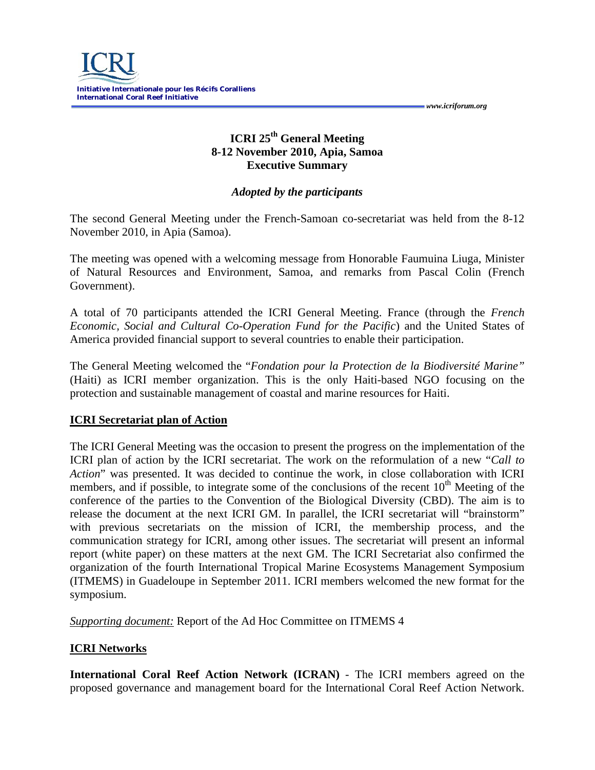# **ICRI 25th General Meeting 8-12 November 2010, Apia, Samoa Executive Summary**

#### *Adopted by the participants*

The second General Meeting under the French-Samoan co-secretariat was held from the 8-12 November 2010, in Apia (Samoa).

The meeting was opened with a welcoming message from Honorable Faumuina Liuga, Minister of Natural Resources and Environment, Samoa, and remarks from Pascal Colin (French Government).

A total of 70 participants attended the ICRI General Meeting. France (through the *French Economic, Social and Cultural Co-Operation Fund for the Pacific*) and the United States of America provided financial support to several countries to enable their participation.

The General Meeting welcomed the "*Fondation pour la Protection de la Biodiversité Marine"*  (Haiti) as ICRI member organization. This is the only Haiti-based NGO focusing on the protection and sustainable management of coastal and marine resources for Haiti.

## **ICRI Secretariat plan of Action**

The ICRI General Meeting was the occasion to present the progress on the implementation of the ICRI plan of action by the ICRI secretariat. The work on the reformulation of a new "*Call to Action*" was presented. It was decided to continue the work, in close collaboration with ICRI members, and if possible, to integrate some of the conclusions of the recent  $10<sup>th</sup>$  Meeting of the conference of the parties to the Convention of the Biological Diversity (CBD). The aim is to release the document at the next ICRI GM. In parallel, the ICRI secretariat will "brainstorm" with previous secretariats on the mission of ICRI, the membership process, and the communication strategy for ICRI, among other issues. The secretariat will present an informal report (white paper) on these matters at the next GM. The ICRI Secretariat also confirmed the organization of the fourth International Tropical Marine Ecosystems Management Symposium (ITMEMS) in Guadeloupe in September 2011. ICRI members welcomed the new format for the symposium.

*Supporting document:* Report of the Ad Hoc Committee on ITMEMS 4

## **ICRI Networks**

**International Coral Reef Action Network (ICRAN)** - The ICRI members agreed on the proposed governance and management board for the International Coral Reef Action Network.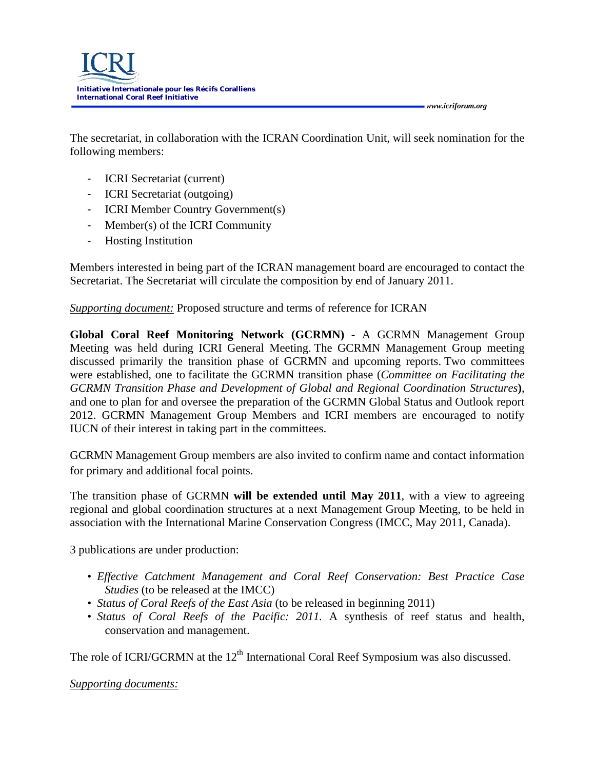The secretariat, in collaboration with the ICRAN Coordination Unit, will seek nomination for the following members:

- ICRI Secretariat (current)
- ICRI Secretariat (outgoing)
- ICRI Member Country Government(s)
- Member(s) of the ICRI Community
- Hosting Institution

Members interested in being part of the ICRAN management board are encouraged to contact the Secretariat. The Secretariat will circulate the composition by end of January 2011.

*Supporting document:* Proposed structure and terms of reference for ICRAN

**Global Coral Reef Monitoring Network (GCRMN)** - A GCRMN Management Group Meeting was held during ICRI General Meeting. The GCRMN Management Group meeting discussed primarily the transition phase of GCRMN and upcoming reports. Two committees were established, one to facilitate the GCRMN transition phase (*Committee on Facilitating the GCRMN Transition Phase and Development of Global and Regional Coordination Structures***)**, and one to plan for and oversee the preparation of the GCRMN Global Status and Outlook report 2012. GCRMN Management Group Members and ICRI members are encouraged to notify IUCN of their interest in taking part in the committees.

GCRMN Management Group members are also invited to confirm name and contact information for primary and additional focal points.

The transition phase of GCRMN **will be extended until May 2011**, with a view to agreeing regional and global coordination structures at a next Management Group Meeting, to be held in association with the International Marine Conservation Congress (IMCC, May 2011, Canada).

3 publications are under production:

- *Effective Catchment Management and Coral Reef Conservation: Best Practice Case Studies* (to be released at the IMCC)
- *Status of Coral Reefs of the East Asia* (to be released in beginning 2011)
- *Status of Coral Reefs of the Pacific: 2011.* A synthesis of reef status and health, conservation and management.

The role of ICRI/GCRMN at the  $12<sup>th</sup>$  International Coral Reef Symposium was also discussed.

*Supporting documents:*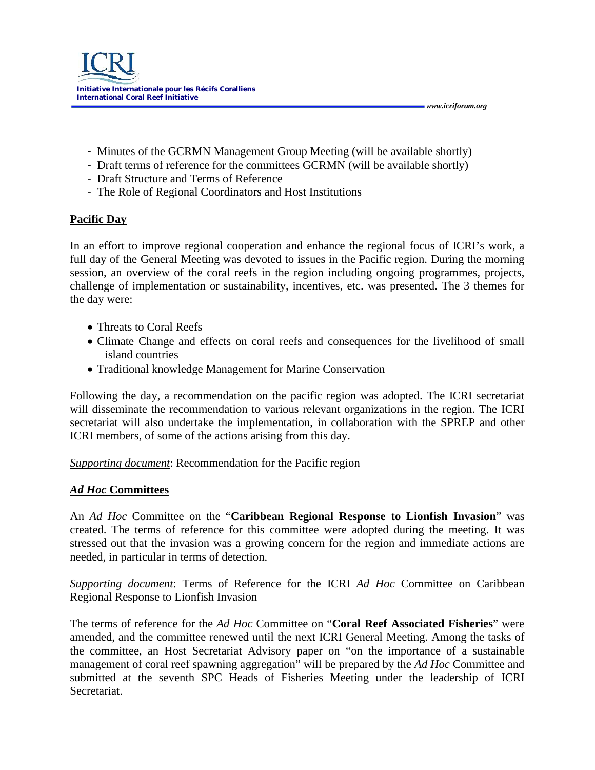- Minutes of the GCRMN Management Group Meeting (will be available shortly)

 *www.icriforum.org* 

- Draft terms of reference for the committees GCRMN (will be available shortly)
- Draft Structure and Terms of Reference
- The Role of Regional Coordinators and Host Institutions

## **Pacific Day**

In an effort to improve regional cooperation and enhance the regional focus of ICRI's work, a full day of the General Meeting was devoted to issues in the Pacific region. During the morning session, an overview of the coral reefs in the region including ongoing programmes, projects, challenge of implementation or sustainability, incentives, etc. was presented. The 3 themes for the day were:

- Threats to Coral Reefs
- Climate Change and effects on coral reefs and consequences for the livelihood of small island countries
- Traditional knowledge Management for Marine Conservation

Following the day, a recommendation on the pacific region was adopted. The ICRI secretariat will disseminate the recommendation to various relevant organizations in the region. The ICRI secretariat will also undertake the implementation, in collaboration with the SPREP and other ICRI members, of some of the actions arising from this day.

*Supporting document*: Recommendation for the Pacific region

#### *Ad Hoc* **Committees**

An *Ad Hoc* Committee on the "**Caribbean Regional Response to Lionfish Invasion**" was created. The terms of reference for this committee were adopted during the meeting. It was stressed out that the invasion was a growing concern for the region and immediate actions are needed, in particular in terms of detection.

*Supporting document*: Terms of Reference for the ICRI *Ad Hoc* Committee on Caribbean Regional Response to Lionfish Invasion

The terms of reference for the *Ad Hoc* Committee on "**Coral Reef Associated Fisheries**" were amended, and the committee renewed until the next ICRI General Meeting. Among the tasks of the committee, an Host Secretariat Advisory paper on "on the importance of a sustainable management of coral reef spawning aggregation" will be prepared by the *Ad Hoc* Committee and submitted at the seventh SPC Heads of Fisheries Meeting under the leadership of ICRI Secretariat.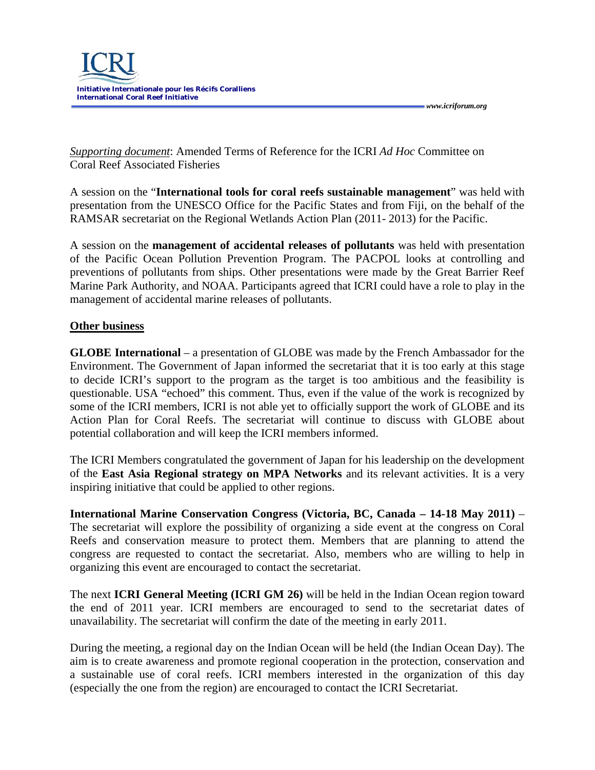

 *www.icriforum.org* 

*Supporting document*: Amended Terms of Reference for the ICRI *Ad Hoc* Committee on Coral Reef Associated Fisheries

A session on the "**International tools for coral reefs sustainable management**" was held with presentation from the UNESCO Office for the Pacific States and from Fiji, on the behalf of the RAMSAR secretariat on the Regional Wetlands Action Plan (2011- 2013) for the Pacific.

A session on the **management of accidental releases of pollutants** was held with presentation of the Pacific Ocean Pollution Prevention Program. The PACPOL looks at controlling and preventions of pollutants from ships. Other presentations were made by the Great Barrier Reef Marine Park Authority, and NOAA. Participants agreed that ICRI could have a role to play in the management of accidental marine releases of pollutants.

#### **Other business**

**GLOBE International** – a presentation of GLOBE was made by the French Ambassador for the Environment. The Government of Japan informed the secretariat that it is too early at this stage to decide ICRI's support to the program as the target is too ambitious and the feasibility is questionable. USA "echoed" this comment. Thus, even if the value of the work is recognized by some of the ICRI members, ICRI is not able yet to officially support the work of GLOBE and its Action Plan for Coral Reefs. The secretariat will continue to discuss with GLOBE about potential collaboration and will keep the ICRI members informed.

The ICRI Members congratulated the government of Japan for his leadership on the development of the **East Asia Regional strategy on MPA Networks** and its relevant activities. It is a very inspiring initiative that could be applied to other regions.

**International Marine Conservation Congress (Victoria, BC, Canada – 14-18 May 2011)** – The secretariat will explore the possibility of organizing a side event at the congress on Coral Reefs and conservation measure to protect them. Members that are planning to attend the congress are requested to contact the secretariat. Also, members who are willing to help in organizing this event are encouraged to contact the secretariat.

The next **ICRI General Meeting (ICRI GM 26)** will be held in the Indian Ocean region toward the end of 2011 year. ICRI members are encouraged to send to the secretariat dates of unavailability. The secretariat will confirm the date of the meeting in early 2011.

During the meeting, a regional day on the Indian Ocean will be held (the Indian Ocean Day). The aim is to create awareness and promote regional cooperation in the protection, conservation and a sustainable use of coral reefs. ICRI members interested in the organization of this day (especially the one from the region) are encouraged to contact the ICRI Secretariat.